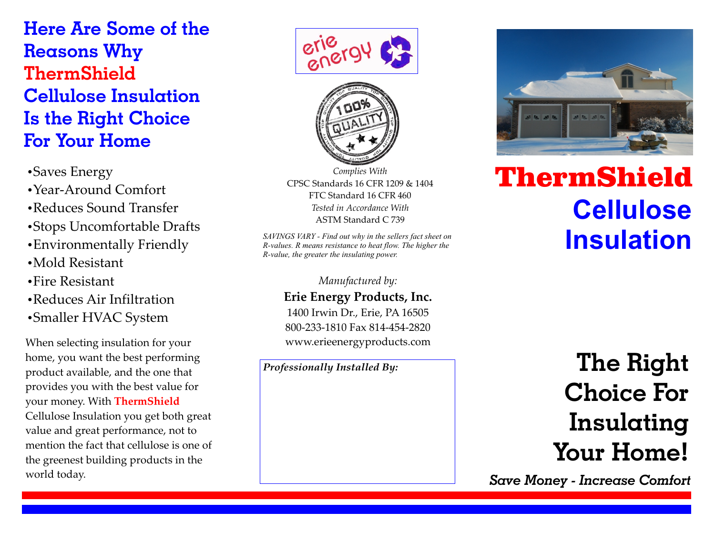**Here Are Some of the Reasons Why Cellulose Insulation Is the Right Choice For Your Home ThermShield**

•Saves Energy

- ŸYear-Around Comfort
- Reduces Sound Transfer
- Stops Uncomfortable Drafts
- Environmentally Friendly
- $\bullet$ Mold Resistant
- $\cdot$ Fire Resistant
- Reduces Air Infiltration
- Smaller HVAC System

When selecting insulation for your home, you want the best performing product available, and the one that provides you with the best value for your money. With **ThermShield** Cellulose Insulation you get both great value and great performance, not to mention the fact that cellulose is one of the greenest building products in the world today.





*Complies With*  CPSC Standards 16 CFR 1209 & 1404 FTC Standard 16 CFR 460 *Tested in Accordance With* ASTM Standard C 739

*SAVINGS VARY - Find out why in the sellers fact sheet on R-values. R means resistance to heat flow. The higher the R-value, the greater the insulating power.*

> *Manufactured by:* **Erie Energy Products, Inc.** 1400 Irwin Dr., Erie, PA 16505 800-233-1810 Fax 814-454-2820 www.erieenergyproducts.com

*Professionally Installed By:*



## ThermShield **Cellulose Insulation**

**The Right Choice For Insulating Your Home!**

*Save Money - Increase Comfort*